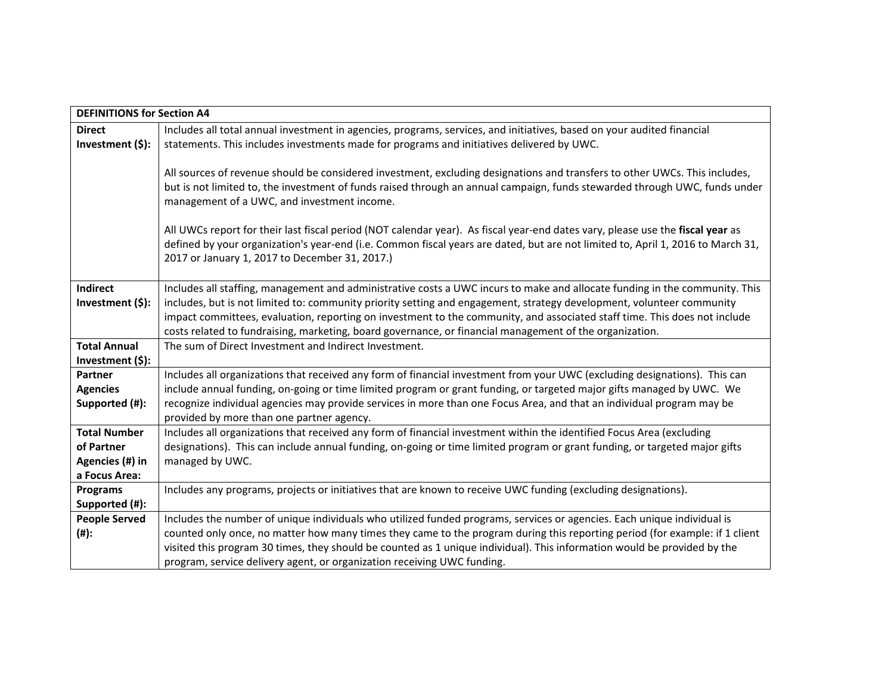| <b>DEFINITIONS for Section A4</b> |                                                                                                                                                                                                                                                                                                                                                                                                                                                                                                                                                                                                                                |  |
|-----------------------------------|--------------------------------------------------------------------------------------------------------------------------------------------------------------------------------------------------------------------------------------------------------------------------------------------------------------------------------------------------------------------------------------------------------------------------------------------------------------------------------------------------------------------------------------------------------------------------------------------------------------------------------|--|
| <b>Direct</b>                     | Includes all total annual investment in agencies, programs, services, and initiatives, based on your audited financial                                                                                                                                                                                                                                                                                                                                                                                                                                                                                                         |  |
| Investment (\$):                  | statements. This includes investments made for programs and initiatives delivered by UWC.                                                                                                                                                                                                                                                                                                                                                                                                                                                                                                                                      |  |
|                                   | All sources of revenue should be considered investment, excluding designations and transfers to other UWCs. This includes,<br>but is not limited to, the investment of funds raised through an annual campaign, funds stewarded through UWC, funds under<br>management of a UWC, and investment income.<br>All UWCs report for their last fiscal period (NOT calendar year). As fiscal year-end dates vary, please use the fiscal year as<br>defined by your organization's year-end (i.e. Common fiscal years are dated, but are not limited to, April 1, 2016 to March 31,<br>2017 or January 1, 2017 to December 31, 2017.) |  |
| Indirect                          | Includes all staffing, management and administrative costs a UWC incurs to make and allocate funding in the community. This                                                                                                                                                                                                                                                                                                                                                                                                                                                                                                    |  |
| Investment (\$):                  | includes, but is not limited to: community priority setting and engagement, strategy development, volunteer community                                                                                                                                                                                                                                                                                                                                                                                                                                                                                                          |  |
|                                   | impact committees, evaluation, reporting on investment to the community, and associated staff time. This does not include                                                                                                                                                                                                                                                                                                                                                                                                                                                                                                      |  |
|                                   | costs related to fundraising, marketing, board governance, or financial management of the organization.                                                                                                                                                                                                                                                                                                                                                                                                                                                                                                                        |  |
| <b>Total Annual</b>               | The sum of Direct Investment and Indirect Investment.                                                                                                                                                                                                                                                                                                                                                                                                                                                                                                                                                                          |  |
| Investment (\$):                  |                                                                                                                                                                                                                                                                                                                                                                                                                                                                                                                                                                                                                                |  |
| Partner                           | Includes all organizations that received any form of financial investment from your UWC (excluding designations). This can                                                                                                                                                                                                                                                                                                                                                                                                                                                                                                     |  |
| <b>Agencies</b>                   | include annual funding, on-going or time limited program or grant funding, or targeted major gifts managed by UWC. We                                                                                                                                                                                                                                                                                                                                                                                                                                                                                                          |  |
| Supported (#):                    | recognize individual agencies may provide services in more than one Focus Area, and that an individual program may be                                                                                                                                                                                                                                                                                                                                                                                                                                                                                                          |  |
|                                   | provided by more than one partner agency.                                                                                                                                                                                                                                                                                                                                                                                                                                                                                                                                                                                      |  |
| <b>Total Number</b>               | Includes all organizations that received any form of financial investment within the identified Focus Area (excluding                                                                                                                                                                                                                                                                                                                                                                                                                                                                                                          |  |
| of Partner                        | designations). This can include annual funding, on-going or time limited program or grant funding, or targeted major gifts                                                                                                                                                                                                                                                                                                                                                                                                                                                                                                     |  |
| Agencies (#) in                   | managed by UWC.                                                                                                                                                                                                                                                                                                                                                                                                                                                                                                                                                                                                                |  |
| a Focus Area:                     |                                                                                                                                                                                                                                                                                                                                                                                                                                                                                                                                                                                                                                |  |
| <b>Programs</b>                   | Includes any programs, projects or initiatives that are known to receive UWC funding (excluding designations).                                                                                                                                                                                                                                                                                                                                                                                                                                                                                                                 |  |
| Supported (#):                    |                                                                                                                                                                                                                                                                                                                                                                                                                                                                                                                                                                                                                                |  |
| <b>People Served</b>              | Includes the number of unique individuals who utilized funded programs, services or agencies. Each unique individual is                                                                                                                                                                                                                                                                                                                                                                                                                                                                                                        |  |
| (#):                              | counted only once, no matter how many times they came to the program during this reporting period (for example: if 1 client                                                                                                                                                                                                                                                                                                                                                                                                                                                                                                    |  |
|                                   | visited this program 30 times, they should be counted as 1 unique individual). This information would be provided by the                                                                                                                                                                                                                                                                                                                                                                                                                                                                                                       |  |
|                                   | program, service delivery agent, or organization receiving UWC funding.                                                                                                                                                                                                                                                                                                                                                                                                                                                                                                                                                        |  |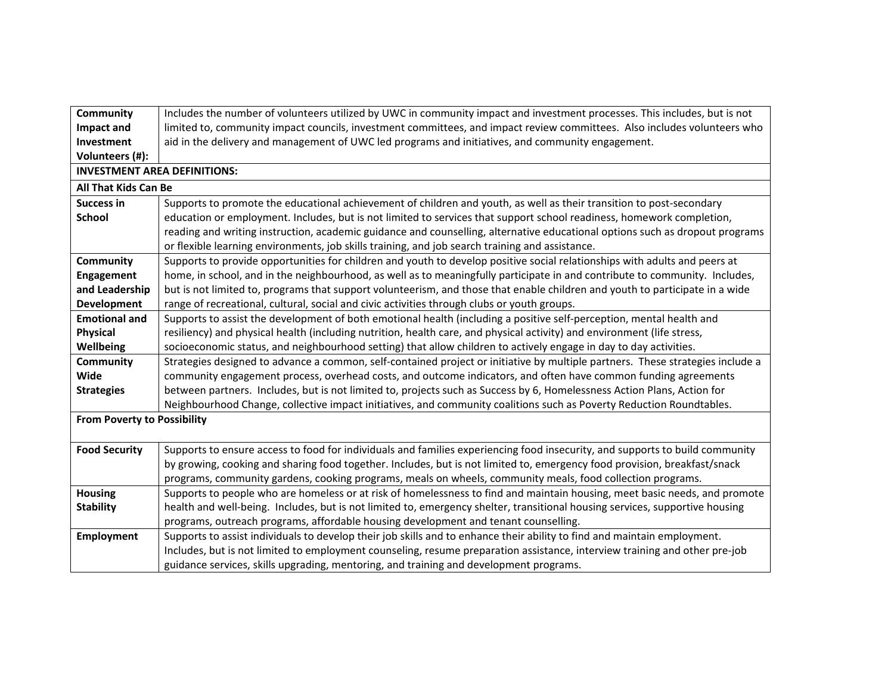| <b>Community</b>                    | Includes the number of volunteers utilized by UWC in community impact and investment processes. This includes, but is not      |  |
|-------------------------------------|--------------------------------------------------------------------------------------------------------------------------------|--|
| <b>Impact and</b>                   | limited to, community impact councils, investment committees, and impact review committees. Also includes volunteers who       |  |
| Investment                          | aid in the delivery and management of UWC led programs and initiatives, and community engagement.                              |  |
| Volunteers (#):                     |                                                                                                                                |  |
| <b>INVESTMENT AREA DEFINITIONS:</b> |                                                                                                                                |  |
| <b>All That Kids Can Be</b>         |                                                                                                                                |  |
| Success in                          | Supports to promote the educational achievement of children and youth, as well as their transition to post-secondary           |  |
| <b>School</b>                       | education or employment. Includes, but is not limited to services that support school readiness, homework completion,          |  |
|                                     | reading and writing instruction, academic guidance and counselling, alternative educational options such as dropout programs   |  |
|                                     | or flexible learning environments, job skills training, and job search training and assistance.                                |  |
| Community                           | Supports to provide opportunities for children and youth to develop positive social relationships with adults and peers at     |  |
| <b>Engagement</b>                   | home, in school, and in the neighbourhood, as well as to meaningfully participate in and contribute to community. Includes,    |  |
| and Leadership                      | but is not limited to, programs that support volunteerism, and those that enable children and youth to participate in a wide   |  |
| Development                         | range of recreational, cultural, social and civic activities through clubs or youth groups.                                    |  |
| <b>Emotional and</b>                | Supports to assist the development of both emotional health (including a positive self-perception, mental health and           |  |
| <b>Physical</b>                     | resiliency) and physical health (including nutrition, health care, and physical activity) and environment (life stress,        |  |
| Wellbeing                           | socioeconomic status, and neighbourhood setting) that allow children to actively engage in day to day activities.              |  |
| <b>Community</b>                    | Strategies designed to advance a common, self-contained project or initiative by multiple partners. These strategies include a |  |
| Wide                                | community engagement process, overhead costs, and outcome indicators, and often have common funding agreements                 |  |
| <b>Strategies</b>                   | between partners. Includes, but is not limited to, projects such as Success by 6, Homelessness Action Plans, Action for        |  |
|                                     | Neighbourhood Change, collective impact initiatives, and community coalitions such as Poverty Reduction Roundtables.           |  |
| <b>From Poverty to Possibility</b>  |                                                                                                                                |  |
|                                     |                                                                                                                                |  |
| <b>Food Security</b>                | Supports to ensure access to food for individuals and families experiencing food insecurity, and supports to build community   |  |
|                                     | by growing, cooking and sharing food together. Includes, but is not limited to, emergency food provision, breakfast/snack      |  |
|                                     | programs, community gardens, cooking programs, meals on wheels, community meals, food collection programs.                     |  |
| <b>Housing</b>                      | Supports to people who are homeless or at risk of homelessness to find and maintain housing, meet basic needs, and promote     |  |
| <b>Stability</b>                    | health and well-being. Includes, but is not limited to, emergency shelter, transitional housing services, supportive housing   |  |
|                                     | programs, outreach programs, affordable housing development and tenant counselling.                                            |  |
| <b>Employment</b>                   | Supports to assist individuals to develop their job skills and to enhance their ability to find and maintain employment.       |  |
|                                     | Includes, but is not limited to employment counseling, resume preparation assistance, interview training and other pre-job     |  |
|                                     | guidance services, skills upgrading, mentoring, and training and development programs.                                         |  |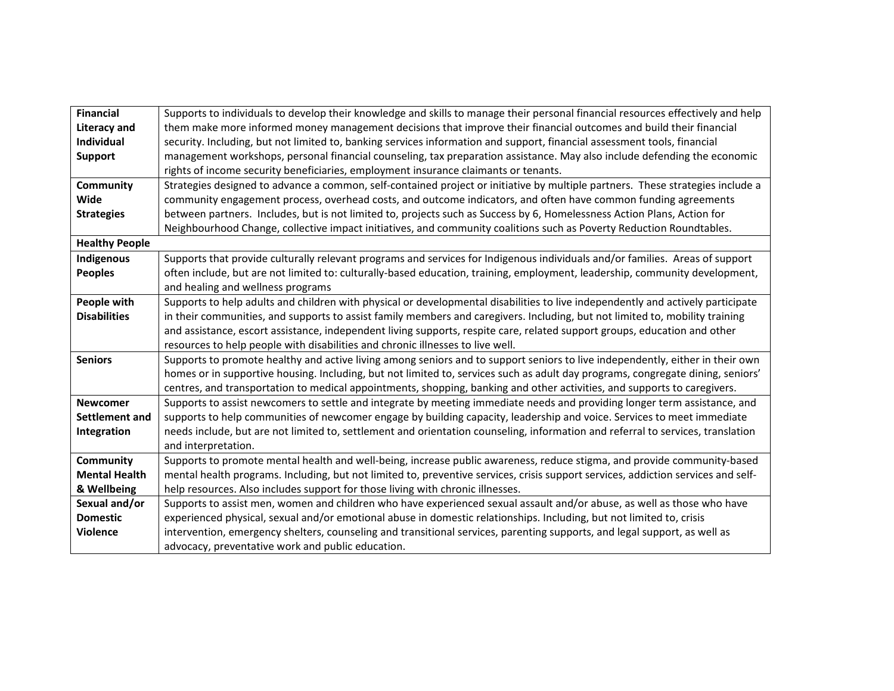| <b>Financial</b>      |                                                                                                                                   |
|-----------------------|-----------------------------------------------------------------------------------------------------------------------------------|
|                       | Supports to individuals to develop their knowledge and skills to manage their personal financial resources effectively and help   |
| <b>Literacy and</b>   | them make more informed money management decisions that improve their financial outcomes and build their financial                |
| <b>Individual</b>     | security. Including, but not limited to, banking services information and support, financial assessment tools, financial          |
| <b>Support</b>        | management workshops, personal financial counseling, tax preparation assistance. May also include defending the economic          |
|                       | rights of income security beneficiaries, employment insurance claimants or tenants.                                               |
| <b>Community</b>      | Strategies designed to advance a common, self-contained project or initiative by multiple partners. These strategies include a    |
| Wide                  | community engagement process, overhead costs, and outcome indicators, and often have common funding agreements                    |
| <b>Strategies</b>     | between partners. Includes, but is not limited to, projects such as Success by 6, Homelessness Action Plans, Action for           |
|                       | Neighbourhood Change, collective impact initiatives, and community coalitions such as Poverty Reduction Roundtables.              |
| <b>Healthy People</b> |                                                                                                                                   |
| Indigenous            | Supports that provide culturally relevant programs and services for Indigenous individuals and/or families. Areas of support      |
| <b>Peoples</b>        | often include, but are not limited to: culturally-based education, training, employment, leadership, community development,       |
|                       | and healing and wellness programs                                                                                                 |
| People with           | Supports to help adults and children with physical or developmental disabilities to live independently and actively participate   |
| <b>Disabilities</b>   | in their communities, and supports to assist family members and caregivers. Including, but not limited to, mobility training      |
|                       | and assistance, escort assistance, independent living supports, respite care, related support groups, education and other         |
|                       | resources to help people with disabilities and chronic illnesses to live well.                                                    |
| <b>Seniors</b>        | Supports to promote healthy and active living among seniors and to support seniors to live independently, either in their own     |
|                       | homes or in supportive housing. Including, but not limited to, services such as adult day programs, congregate dining, seniors'   |
|                       | centres, and transportation to medical appointments, shopping, banking and other activities, and supports to caregivers.          |
| <b>Newcomer</b>       | Supports to assist newcomers to settle and integrate by meeting immediate needs and providing longer term assistance, and         |
| <b>Settlement and</b> | supports to help communities of newcomer engage by building capacity, leadership and voice. Services to meet immediate            |
| Integration           | needs include, but are not limited to, settlement and orientation counseling, information and referral to services, translation   |
|                       | and interpretation.                                                                                                               |
|                       |                                                                                                                                   |
| <b>Community</b>      | Supports to promote mental health and well-being, increase public awareness, reduce stigma, and provide community-based           |
| <b>Mental Health</b>  | mental health programs. Including, but not limited to, preventive services, crisis support services, addiction services and self- |
| & Wellbeing           | help resources. Also includes support for those living with chronic illnesses.                                                    |
| Sexual and/or         | Supports to assist men, women and children who have experienced sexual assault and/or abuse, as well as those who have            |
| <b>Domestic</b>       | experienced physical, sexual and/or emotional abuse in domestic relationships. Including, but not limited to, crisis              |
| <b>Violence</b>       | intervention, emergency shelters, counseling and transitional services, parenting supports, and legal support, as well as         |
|                       | advocacy, preventative work and public education.                                                                                 |